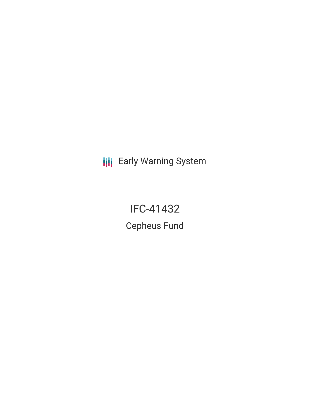**III** Early Warning System

IFC-41432 Cepheus Fund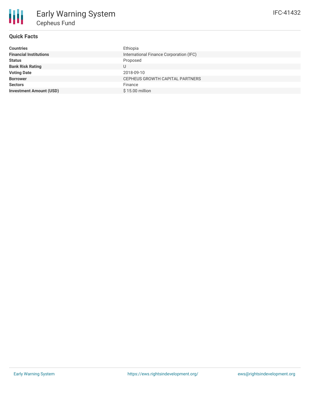

## **Quick Facts**

| <b>Countries</b>               | Ethiopia                                |
|--------------------------------|-----------------------------------------|
| <b>Financial Institutions</b>  | International Finance Corporation (IFC) |
| <b>Status</b>                  | Proposed                                |
| <b>Bank Risk Rating</b>        |                                         |
| <b>Voting Date</b>             | 2018-09-10                              |
| <b>Borrower</b>                | CEPHEUS GROWTH CAPITAL PARTNERS         |
| <b>Sectors</b>                 | Finance                                 |
| <b>Investment Amount (USD)</b> | \$15.00 million                         |
|                                |                                         |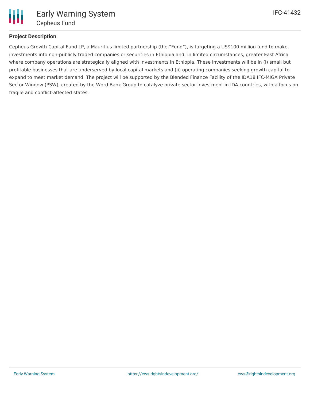

## **Project Description**

Cepheus Growth Capital Fund LP, a Mauritius limited partnership (the "Fund"), is targeting a US\$100 million fund to make investments into non-publicly traded companies or securities in Ethiopia and, in limited circumstances, greater East Africa where company operations are strategically aligned with investments in Ethiopia. These investments will be in (i) small but profitable businesses that are underserved by local capital markets and (ii) operating companies seeking growth capital to expand to meet market demand. The project will be supported by the Blended Finance Facility of the IDA18 IFC-MIGA Private Sector Window (PSW), created by the Word Bank Group to catalyze private sector investment in IDA countries, with a focus on fragile and conflict-affected states.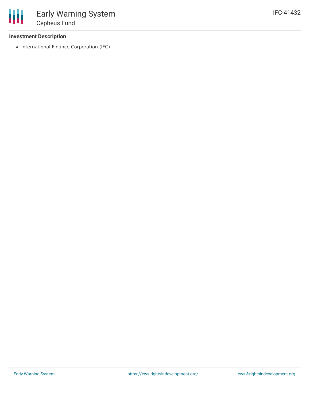### **Investment Description**

• International Finance Corporation (IFC)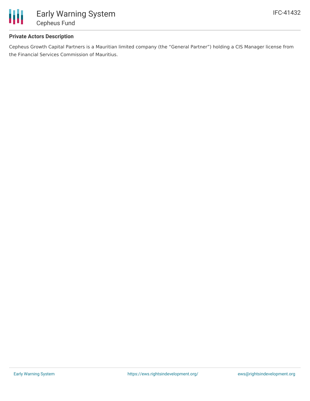

## **Private Actors Description**

Cepheus Growth Capital Partners is a Mauritian limited company (the "General Partner") holding a CIS Manager license from the Financial Services Commission of Mauritius.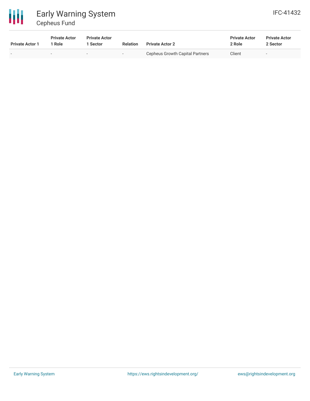

# Early Warning System Cepheus Fund

| <b>Private Actor 1</b> | <b>Private Actor</b><br>1 Role | <b>Private Actor</b><br>Sector | <b>Relation</b>          | <b>Private Actor 2</b>          | <b>Private Actor</b><br>2 Role | <b>Private Actor</b><br>2 Sector |  |
|------------------------|--------------------------------|--------------------------------|--------------------------|---------------------------------|--------------------------------|----------------------------------|--|
|                        |                                |                                | $\overline{\phantom{0}}$ | Cepheus Growth Capital Partners | Client                         |                                  |  |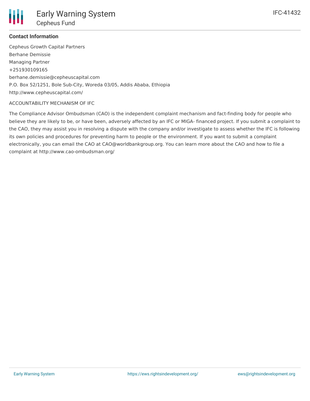

## **Contact Information**

Cepheus Growth Capital Partners Berhane Demissie Managing Partner +251930109165 berhane.demissie@cepheuscapital.com P.O. Box 52/1251, Bole Sub-City, Woreda 03/05, Addis Ababa, Ethiopia http://www.cepheuscapital.com/

#### ACCOUNTABILITY MECHANISM OF IFC

The Compliance Advisor Ombudsman (CAO) is the independent complaint mechanism and fact-finding body for people who believe they are likely to be, or have been, adversely affected by an IFC or MIGA- financed project. If you submit a complaint to the CAO, they may assist you in resolving a dispute with the company and/or investigate to assess whether the IFC is following its own policies and procedures for preventing harm to people or the environment. If you want to submit a complaint electronically, you can email the CAO at CAO@worldbankgroup.org. You can learn more about the CAO and how to file a complaint at http://www.cao-ombudsman.org/